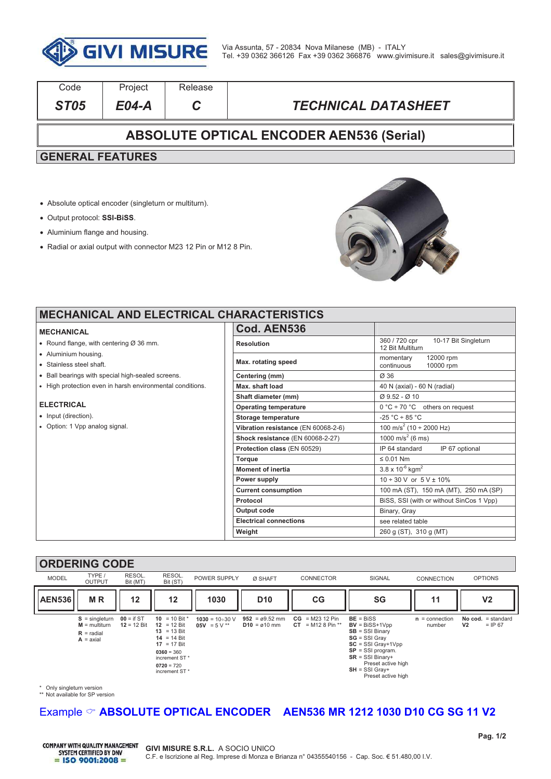

| Code                                            | Project | Release |                            |  |  |  |
|-------------------------------------------------|---------|---------|----------------------------|--|--|--|
| <b>ST05</b>                                     | E04-A   |         | <b>TECHNICAL DATASHEET</b> |  |  |  |
| <b>ABSOLUTE OPTICAL ENCODER AEN536 (Serial)</b> |         |         |                            |  |  |  |
| <b>GENERAL FEATURES</b>                         |         |         |                            |  |  |  |
|                                                 |         |         |                            |  |  |  |

- ! Absolute optical encoder (singleturn or multiturn).
- ! Output protocol: **SSI-BiSS**.
- Aluminium flange and housing.
- ! Radial or axial output with connector M23 12 Pin or M12 8 Pin.



┚ ī

### **MECHANICAL AND ELECTRICAL CI**

#### **MECHANICAL**

- $\bullet$  Round flange, with centering Ø 36 mm.
- . Aluminium housing.
- . Stainless steel shaft.
- . Ball bearings with special high-sealed screens.
- . High protection even in harsh environmental conditions.

#### **ELECTRICAL**

- Input (direction).
- Option: 1 Vpp analog signal.

| HARACTERISTICS                      |                                                           |  |
|-------------------------------------|-----------------------------------------------------------|--|
| Cod. AEN536                         |                                                           |  |
| <b>Resolution</b>                   | 360 / 720 cpr<br>10-17 Bit Singleturn<br>12 Bit Multiturn |  |
| Max. rotating speed                 | 12000 rpm<br>momentary<br>continuous<br>10000 rpm         |  |
| Centering (mm)                      | Ø 36                                                      |  |
| Max. shaft load                     | 40 N (axial) - 60 N (radial)                              |  |
| Shaft diameter (mm)                 | $Q$ 9.52 - $Q$ 10                                         |  |
| <b>Operating temperature</b>        | $0 °C \div 70 °C$ others on request                       |  |
| Storage temperature                 | $-25 °C \div 85 °C$                                       |  |
| Vibration resistance (EN 60068-2-6) | 100 m/s <sup>2</sup> (10 ÷ 2000 Hz)                       |  |
| Shock resistance (EN 60068-2-27)    | 1000 m/s <sup>2</sup> (6 ms)                              |  |
| Protection class (EN 60529)         | IP 64 standard<br>IP 67 optional                          |  |
| Torque                              | $\leq 0.01$ Nm                                            |  |
| <b>Moment of inertia</b>            | $3.8 \times 10^{-6}$ kgm <sup>2</sup>                     |  |
| Power supply                        | $10 \div 30$ V or $5$ V $\pm$ 10%                         |  |
| <b>Current consumption</b>          | 100 mA (ST), 150 mA (MT), 250 mA (SP)                     |  |
| Protocol                            | BiSS, SSI (with or without SinCos 1 Vpp)                  |  |
| Output code                         | Binary, Gray                                              |  |
| <b>Electrical connections</b>       | see related table                                         |  |
| Weight                              | 260 g (ST), 310 g (MT)                                    |  |

#### **ORDERING CODE**



\* Only singleturn version \*\* Not available for SP version

## Example  $\degree$  **ABSOLUTE OPTICAL ENCODER** AEN536 MR 1212 1030 D10 CG SG 11 V2